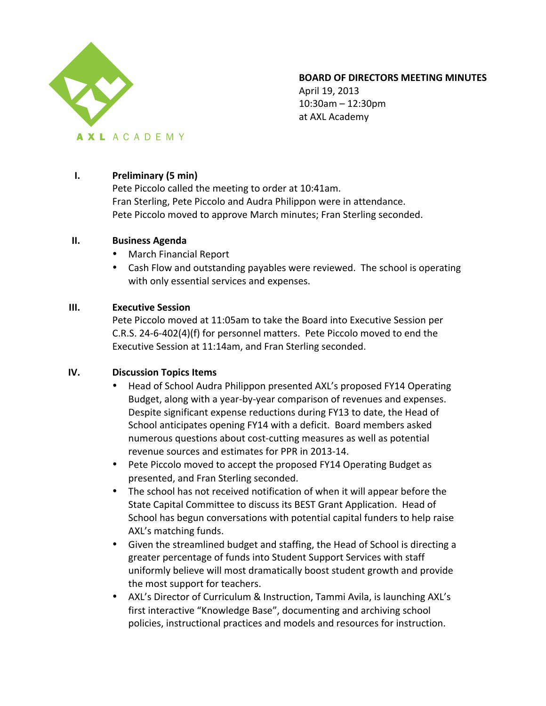

# **BOARD OF DIRECTORS MEETING MINUTES**

April 19, 2013  $10:30$ am – 12:30pm at AXL Academy

# **I. Preliminary (5 min)**

Pete Piccolo called the meeting to order at 10:41am. Fran Sterling, Pete Piccolo and Audra Philippon were in attendance. Pete Piccolo moved to approve March minutes; Fran Sterling seconded.

### **II. Business Agenda**

- March Financial Report
- Cash Flow and outstanding payables were reviewed. The school is operating with only essential services and expenses.

## **III. Executive Session**

Pete Piccolo moved at 11:05am to take the Board into Executive Session per C.R.S. 24-6-402(4)(f) for personnel matters. Pete Piccolo moved to end the Executive Session at 11:14am, and Fran Sterling seconded.

### **IV. Discussion Topics Items**

- Head of School Audra Philippon presented AXL's proposed FY14 Operating Budget, along with a year-by-year comparison of revenues and expenses. Despite significant expense reductions during FY13 to date, the Head of School anticipates opening FY14 with a deficit. Board members asked numerous questions about cost-cutting measures as well as potential revenue sources and estimates for PPR in 2013-14.
- Pete Piccolo moved to accept the proposed FY14 Operating Budget as presented, and Fran Sterling seconded.
- The school has not received notification of when it will appear before the State Capital Committee to discuss its BEST Grant Application. Head of School has begun conversations with potential capital funders to help raise AXL's matching funds.
- Given the streamlined budget and staffing, the Head of School is directing a greater percentage of funds into Student Support Services with staff uniformly believe will most dramatically boost student growth and provide the most support for teachers.
- AXL's Director of Curriculum & Instruction, Tammi Avila, is launching AXL's first interactive "Knowledge Base", documenting and archiving school policies, instructional practices and models and resources for instruction.